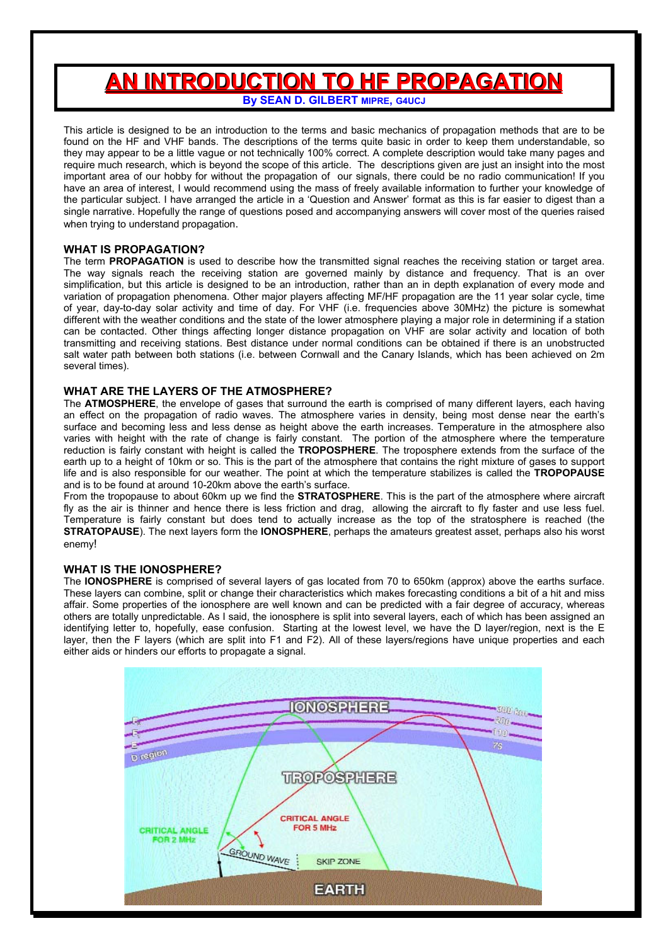# **AN INTRODUCTION TO HF PROPAGATION By SEAN D. GILBERT MIPRE, G4UCJ**

This article is designed to be an introduction to the terms and basic mechanics of propagation methods that are to be found on the HF and VHF bands. The descriptions of the terms quite basic in order to keep them understandable, so they may appear to be a little vague or not technically 100% correct. A complete description would take many pages and require much research, which is beyond the scope of this article. The descriptions given are just an insight into the most important area of our hobby for without the propagation of our signals, there could be no radio communication! If you have an area of interest, I would recommend using the mass of freely available information to further your knowledge of the particular subject. I have arranged the article in a 'Question and Answer' format as this is far easier to digest than a single narrative. Hopefully the range of questions posed and accompanying answers will cover most of the queries raised when trying to understand propagation.

## **WHAT IS PROPAGATION?**

The term **PROPAGATION** is used to describe how the transmitted signal reaches the receiving station or target area. The way signals reach the receiving station are governed mainly by distance and frequency. That is an over simplification, but this article is designed to be an introduction, rather than an in depth explanation of every mode and variation of propagation phenomena. Other major players affecting MF/HF propagation are the 11 year solar cycle, time of year, day-to-day solar activity and time of day. For VHF (i.e. frequencies above 30MHz) the picture is somewhat different with the weather conditions and the state of the lower atmosphere playing a major role in determining if a station can be contacted. Other things affecting longer distance propagation on VHF are solar activity and location of both transmitting and receiving stations. Best distance under normal conditions can be obtained if there is an unobstructed salt water path between both stations (i.e. between Cornwall and the Canary Islands, which has been achieved on 2m several times).

## **WHAT ARE THE LAYERS OF THE ATMOSPHERE?**

The **ATMOSPHERE**, the envelope of gases that surround the earth is comprised of many different layers, each having an effect on the propagation of radio waves. The atmosphere varies in density, being most dense near the earth's surface and becoming less and less dense as height above the earth increases. Temperature in the atmosphere also varies with height with the rate of change is fairly constant. The portion of the atmosphere where the temperature reduction is fairly constant with height is called the **TROPOSPHERE**. The troposphere extends from the surface of the earth up to a height of 10km or so. This is the part of the atmosphere that contains the right mixture of gases to support life and is also responsible for our weather. The point at which the temperature stabilizes is called the **TROPOPAUSE** and is to be found at around 10-20km above the earth's surface.

From the tropopause to about 60km up we find the **STRATOSPHERE**. This is the part of the atmosphere where aircraft fly as the air is thinner and hence there is less friction and drag, allowing the aircraft to fly faster and use less fuel. Temperature is fairly constant but does tend to actually increase as the top of the stratosphere is reached (the **STRATOPAUSE**). The next layers form the **IONOSPHERE**, perhaps the amateurs greatest asset, perhaps also his worst enemy!

## **WHAT IS THE IONOSPHERE?**

The **IONOSPHERE** is comprised of several layers of gas located from 70 to 650km (approx) above the earths surface. These layers can combine, split or change their characteristics which makes forecasting conditions a bit of a hit and miss affair. Some properties of the ionosphere are well known and can be predicted with a fair degree of accuracy, whereas others are totally unpredictable. As I said, the ionosphere is split into several layers, each of which has been assigned an identifying letter to, hopefully, ease confusion. Starting at the lowest level, we have the D layer/region, next is the E layer, then the F layers (which are split into F1 and F2). All of these layers/regions have unique properties and each either aids or hinders our efforts to propagate a signal.

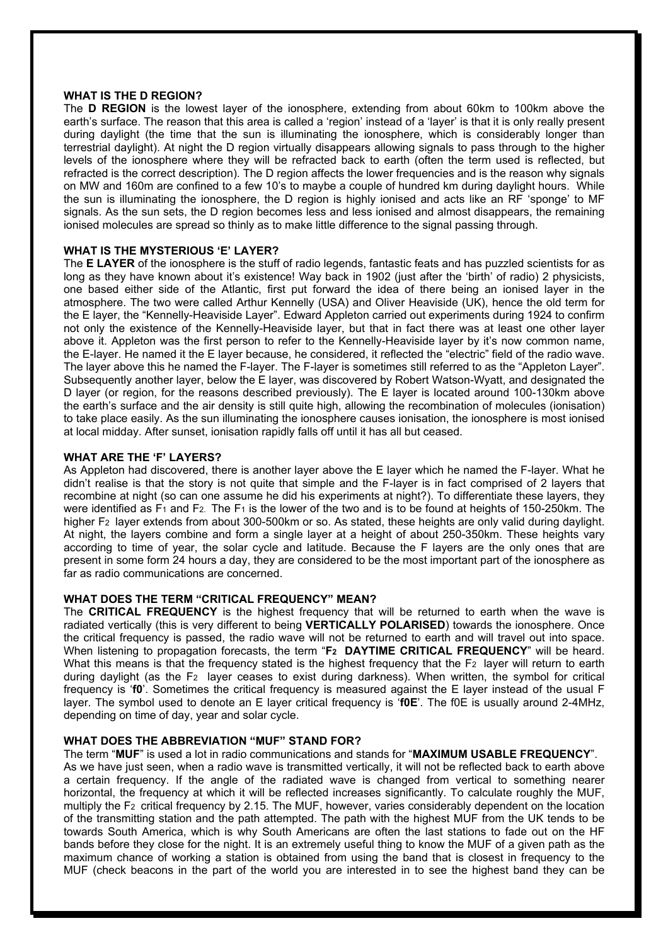## **WHAT IS THE D REGION?**

The **D REGION** is the lowest layer of the ionosphere, extending from about 60km to 100km above the earth's surface. The reason that this area is called a 'region' instead of a 'layer' is that it is only really present during daylight (the time that the sun is illuminating the ionosphere, which is considerably longer than terrestrial daylight). At night the D region virtually disappears allowing signals to pass through to the higher levels of the ionosphere where they will be refracted back to earth (often the term used is reflected, but refracted is the correct description). The D region affects the lower frequencies and is the reason why signals on MW and 160m are confined to a few 10's to maybe a couple of hundred km during daylight hours. While the sun is illuminating the ionosphere, the D region is highly ionised and acts like an RF 'sponge' to MF signals. As the sun sets, the D region becomes less and less ionised and almost disappears, the remaining ionised molecules are spread so thinly as to make little difference to the signal passing through.

## **WHAT IS THE MYSTERIOUS 'E' LAYER?**

The **E LAYER** of the ionosphere is the stuff of radio legends, fantastic feats and has puzzled scientists for as long as they have known about it's existence! Way back in 1902 (just after the 'birth' of radio) 2 physicists, one based either side of the Atlantic, first put forward the idea of there being an ionised layer in the atmosphere. The two were called Arthur Kennelly (USA) and Oliver Heaviside (UK), hence the old term for the E layer, the "Kennelly-Heaviside Layer". Edward Appleton carried out experiments during 1924 to confirm not only the existence of the Kennelly-Heaviside layer, but that in fact there was at least one other layer above it. Appleton was the first person to refer to the Kennelly-Heaviside layer by it's now common name, the E-layer. He named it the E layer because, he considered, it reflected the "electric" field of the radio wave. The layer above this he named the F-layer. The F-layer is sometimes still referred to as the "Appleton Layer". Subsequently another layer, below the E layer, was discovered by Robert Watson-Wyatt, and designated the D layer (or region, for the reasons described previously). The E layer is located around 100-130km above the earth's surface and the air density is still quite high, allowing the recombination of molecules (ionisation) to take place easily. As the sun illuminating the ionosphere causes ionisation, the ionosphere is most ionised at local midday. After sunset, ionisation rapidly falls off until it has all but ceased.

#### **WHAT ARE THE 'F' LAYERS?**

As Appleton had discovered, there is another layer above the E layer which he named the F-layer. What he didn't realise is that the story is not quite that simple and the F-layer is in fact comprised of 2 layers that recombine at night (so can one assume he did his experiments at night?). To differentiate these layers, they were identified as F<sub>1</sub> and F<sub>2</sub>. The F<sub>1</sub> is the lower of the two and is to be found at heights of 150-250km. The higher F<sub>2</sub> layer extends from about 300-500km or so. As stated, these heights are only valid during daylight. At night, the layers combine and form a single layer at a height of about 250-350km. These heights vary according to time of year, the solar cycle and latitude. Because the F layers are the only ones that are present in some form 24 hours a day, they are considered to be the most important part of the ionosphere as far as radio communications are concerned.

## **WHAT DOES THE TERM "CRITICAL FREQUENCY" MEAN?**

The **CRITICAL FREQUENCY** is the highest frequency that will be returned to earth when the wave is radiated vertically (this is very different to being **VERTICALLY POLARISED**) towards the ionosphere. Once the critical frequency is passed, the radio wave will not be returned to earth and will travel out into space. When listening to propagation forecasts, the term "**F2 DAYTIME CRITICAL FREQUENCY**" will be heard. What this means is that the frequency stated is the highest frequency that the F<sub>2</sub> layer will return to earth during daylight (as the F2 layer ceases to exist during darkness). When written, the symbol for critical frequency is '**f0**'. Sometimes the critical frequency is measured against the E layer instead of the usual F layer. The symbol used to denote an E layer critical frequency is '**f0E**'. The f0E is usually around 2-4MHz, depending on time of day, year and solar cycle.

#### **WHAT DOES THE ABBREVIATION "MUF" STAND FOR?**

The term "**MUF**" is used a lot in radio communications and stands for "**MAXIMUM USABLE FREQUENCY**". As we have just seen, when a radio wave is transmitted vertically, it will not be reflected back to earth above a certain frequency. If the angle of the radiated wave is changed from vertical to something nearer horizontal, the frequency at which it will be reflected increases significantly. To calculate roughly the MUF, multiply the F2 critical frequency by 2.15. The MUF, however, varies considerably dependent on the location of the transmitting station and the path attempted. The path with the highest MUF from the UK tends to be towards South America, which is why South Americans are often the last stations to fade out on the HF bands before they close for the night. It is an extremely useful thing to know the MUF of a given path as the maximum chance of working a station is obtained from using the band that is closest in frequency to the MUF (check beacons in the part of the world you are interested in to see the highest band they can be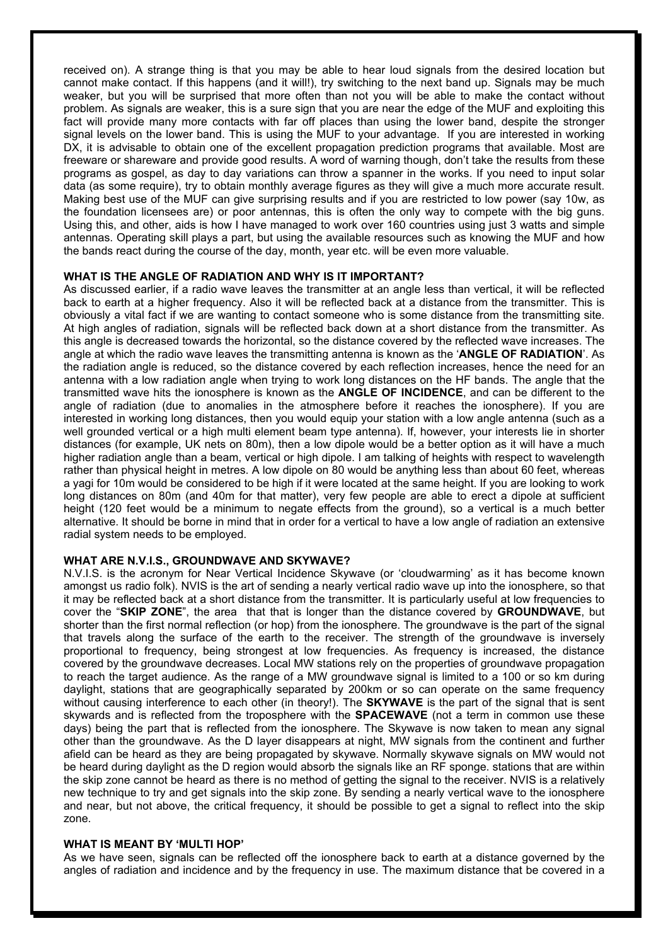received on). A strange thing is that you may be able to hear loud signals from the desired location but cannot make contact. If this happens (and it will!), try switching to the next band up. Signals may be much weaker, but you will be surprised that more often than not you will be able to make the contact without problem. As signals are weaker, this is a sure sign that you are near the edge of the MUF and exploiting this fact will provide many more contacts with far off places than using the lower band, despite the stronger signal levels on the lower band. This is using the MUF to your advantage. If you are interested in working DX, it is advisable to obtain one of the excellent propagation prediction programs that available. Most are freeware or shareware and provide good results. A word of warning though, don't take the results from these programs as gospel, as day to day variations can throw a spanner in the works. If you need to input solar data (as some require), try to obtain monthly average figures as they will give a much more accurate result. Making best use of the MUF can give surprising results and if you are restricted to low power (say 10w, as the foundation licensees are) or poor antennas, this is often the only way to compete with the big guns. Using this, and other, aids is how I have managed to work over 160 countries using just 3 watts and simple antennas. Operating skill plays a part, but using the available resources such as knowing the MUF and how the bands react during the course of the day, month, year etc. will be even more valuable.

## **WHAT IS THE ANGLE OF RADIATION AND WHY IS IT IMPORTANT?**

As discussed earlier, if a radio wave leaves the transmitter at an angle less than vertical, it will be reflected back to earth at a higher frequency. Also it will be reflected back at a distance from the transmitter. This is obviously a vital fact if we are wanting to contact someone who is some distance from the transmitting site. At high angles of radiation, signals will be reflected back down at a short distance from the transmitter. As this angle is decreased towards the horizontal, so the distance covered by the reflected wave increases. The angle at which the radio wave leaves the transmitting antenna is known as the '**ANGLE OF RADIATION**'. As the radiation angle is reduced, so the distance covered by each reflection increases, hence the need for an antenna with a low radiation angle when trying to work long distances on the HF bands. The angle that the transmitted wave hits the ionosphere is known as the **ANGLE OF INCIDENCE**, and can be different to the angle of radiation (due to anomalies in the atmosphere before it reaches the ionosphere). If you are interested in working long distances, then you would equip your station with a low angle antenna (such as a well grounded vertical or a high multi element beam type antenna). If, however, your interests lie in shorter distances (for example, UK nets on 80m), then a low dipole would be a better option as it will have a much higher radiation angle than a beam, vertical or high dipole. I am talking of heights with respect to wavelength rather than physical height in metres. A low dipole on 80 would be anything less than about 60 feet, whereas a yagi for 10m would be considered to be high if it were located at the same height. If you are looking to work long distances on 80m (and 40m for that matter), very few people are able to erect a dipole at sufficient height (120 feet would be a minimum to negate effects from the ground), so a vertical is a much better alternative. It should be borne in mind that in order for a vertical to have a low angle of radiation an extensive radial system needs to be employed.

## **WHAT ARE N.V.I.S., GROUNDWAVE AND SKYWAVE?**

N.V.I.S. is the acronym for Near Vertical Incidence Skywave (or 'cloudwarming' as it has become known amongst us radio folk). NVIS is the art of sending a nearly vertical radio wave up into the ionosphere, so that it may be reflected back at a short distance from the transmitter. It is particularly useful at low frequencies to cover the "**SKIP ZONE**", the area that that is longer than the distance covered by **GROUNDWAVE**, but shorter than the first normal reflection (or hop) from the ionosphere. The groundwave is the part of the signal that travels along the surface of the earth to the receiver. The strength of the groundwave is inversely proportional to frequency, being strongest at low frequencies. As frequency is increased, the distance covered by the groundwave decreases. Local MW stations rely on the properties of groundwave propagation to reach the target audience. As the range of a MW groundwave signal is limited to a 100 or so km during daylight, stations that are geographically separated by 200km or so can operate on the same frequency without causing interference to each other (in theory!). The **SKYWAVE** is the part of the signal that is sent skywards and is reflected from the troposphere with the **SPACEWAVE** (not a term in common use these days) being the part that is reflected from the ionosphere. The Skywave is now taken to mean any signal other than the groundwave. As the D layer disappears at night, MW signals from the continent and further afield can be heard as they are being propagated by skywave. Normally skywave signals on MW would not be heard during daylight as the D region would absorb the signals like an RF sponge. stations that are within the skip zone cannot be heard as there is no method of getting the signal to the receiver. NVIS is a relatively new technique to try and get signals into the skip zone. By sending a nearly vertical wave to the ionosphere and near, but not above, the critical frequency, it should be possible to get a signal to reflect into the skip zone.

## **WHAT IS MEANT BY 'MULTI HOP'**

As we have seen, signals can be reflected off the ionosphere back to earth at a distance governed by the angles of radiation and incidence and by the frequency in use. The maximum distance that be covered in a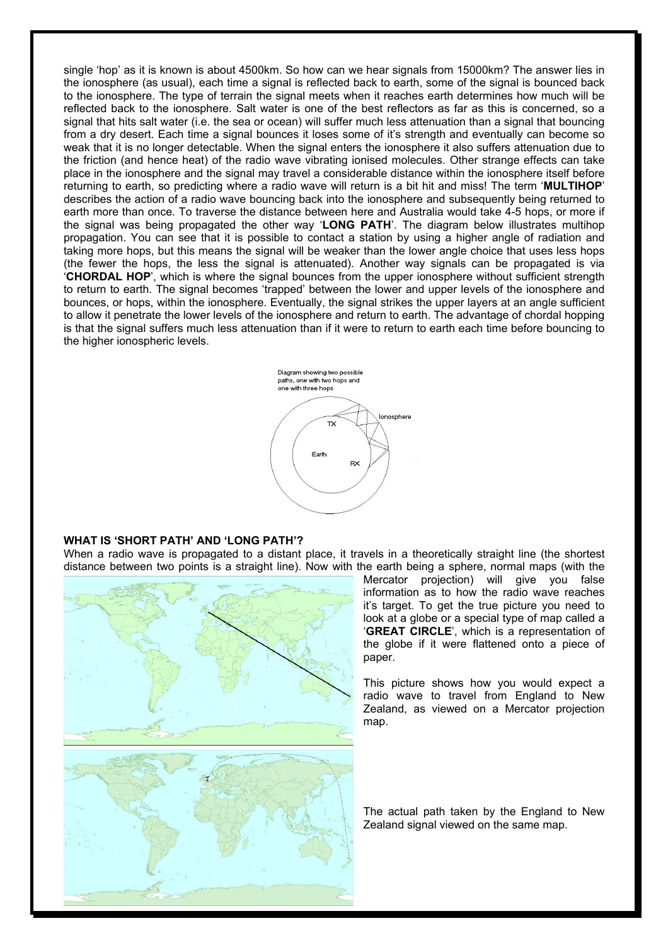single 'hop' as it is known is about 4500km. So how can we hear signals from 15000km? The answer lies in the ionosphere (as usual), each time a signal is reflected back to earth, some of the signal is bounced back to the ionosphere. The type of terrain the signal meets when it reaches earth determines how much will be reflected back to the ionosphere. Salt water is one of the best reflectors as far as this is concerned, so a signal that hits salt water (i.e. the sea or ocean) will suffer much less attenuation than a signal that bouncing from a dry desert. Each time a signal bounces it loses some of it's strength and eventually can become so weak that it is no longer detectable. When the signal enters the ionosphere it also suffers attenuation due to the friction (and hence heat) of the radio wave vibrating ionised molecules. Other strange effects can take place in the ionosphere and the signal may travel a considerable distance within the ionosphere itself before returning to earth, so predicting where a radio wave will return is a bit hit and miss! The term '**MULTIHOP**' describes the action of a radio wave bouncing back into the ionosphere and subsequently being returned to earth more than once. To traverse the distance between here and Australia would take 4-5 hops, or more if the signal was being propagated the other way '**LONG PATH**'. The diagram below illustrates multihop propagation. You can see that it is possible to contact a station by using a higher angle of radiation and taking more hops, but this means the signal will be weaker than the lower angle choice that uses less hops (the fewer the hops, the less the signal is attenuated). Another way signals can be propagated is via '**CHORDAL HOP**', which is where the signal bounces from the upper ionosphere without sufficient strength to return to earth. The signal becomes 'trapped' between the lower and upper levels of the ionosphere and bounces, or hops, within the ionosphere. Eventually, the signal strikes the upper layers at an angle sufficient to allow it penetrate the lower levels of the ionosphere and return to earth. The advantage of chordal hopping is that the signal suffers much less attenuation than if it were to return to earth each time before bouncing to the higher ionospheric levels.



## **WHAT IS 'SHORT PATH' AND 'LONG PATH'?**

When a radio wave is propagated to a distant place, it travels in a theoretically straight line (the shortest distance between two points is a straight line). Now with the earth being a sphere, normal maps (with the



Mercator projection) will give you false information as to how the radio wave reaches it's target. To get the true picture you need to look at a globe or a special type of map called a '**GREAT CIRCLE**', which is a representation of the globe if it were flattened onto a piece of paper.

This picture shows how you would expect a radio wave to travel from England to New Zealand, as viewed on a Mercator projection map.

The actual path taken by the England to New Zealand signal viewed on the same map.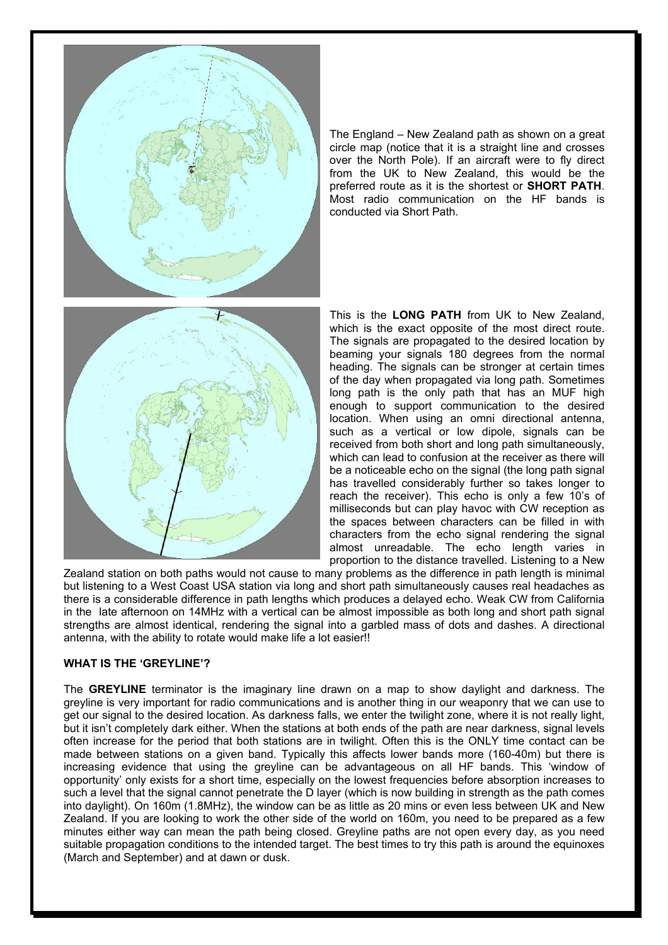

The England – New Zealand path as shown on a great circle map (notice that it is a straight line and crosses over the North Pole). If an aircraft were to fly direct from the UK to New Zealand, this would be the preferred route as it is the shortest or **SHORT PATH**. Most radio communication on the HF bands is conducted via Short Path.



This is the **LONG PATH** from UK to New Zealand, which is the exact opposite of the most direct route. The signals are propagated to the desired location by beaming your signals 180 degrees from the normal heading. The signals can be stronger at certain times of the day when propagated via long path. Sometimes long path is the only path that has an MUF high enough to support communication to the desired location. When using an omni directional antenna, such as a vertical or low dipole, signals can be received from both short and long path simultaneously, which can lead to confusion at the receiver as there will be a noticeable echo on the signal (the long path signal has travelled considerably further so takes longer to reach the receiver). This echo is only a few 10's of milliseconds but can play havoc with CW reception as the spaces between characters can be filled in with characters from the echo signal rendering the signal almost unreadable. The echo length varies in proportion to the distance travelled. Listening to a New

Zealand station on both paths would not cause to many problems as the difference in path length is minimal but listening to a West Coast USA station via long and short path simultaneously causes real headaches as there is a considerable difference in path lengths which produces a delayed echo. Weak CW from California in the late afternoon on 14MHz with a vertical can be almost impossible as both long and short path signal strengths are almost identical, rendering the signal into a garbled mass of dots and dashes. A directional antenna, with the ability to rotate would make life a lot easier!!

## **WHAT IS THE 'GREYLINE'?**

The **GREYLINE** terminator is the imaginary line drawn on a map to show daylight and darkness. The greyline is very important for radio communications and is another thing in our weaponry that we can use to get our signal to the desired location. As darkness falls, we enter the twilight zone, where it is not really light, but it isn't completely dark either. When the stations at both ends of the path are near darkness, signal levels often increase for the period that both stations are in twilight. Often this is the ONLY time contact can be made between stations on a given band. Typically this affects lower bands more (160-40m) but there is increasing evidence that using the greyline can be advantageous on all HF bands. This 'window of opportunity' only exists for a short time, especially on the lowest frequencies before absorption increases to such a level that the signal cannot penetrate the D layer (which is now building in strength as the path comes into daylight). On 160m (1.8MHz), the window can be as little as 20 mins or even less between UK and New Zealand. If you are looking to work the other side of the world on 160m, you need to be prepared as a few minutes either way can mean the path being closed. Greyline paths are not open every day, as you need suitable propagation conditions to the intended target. The best times to try this path is around the equinoxes (March and September) and at dawn or dusk.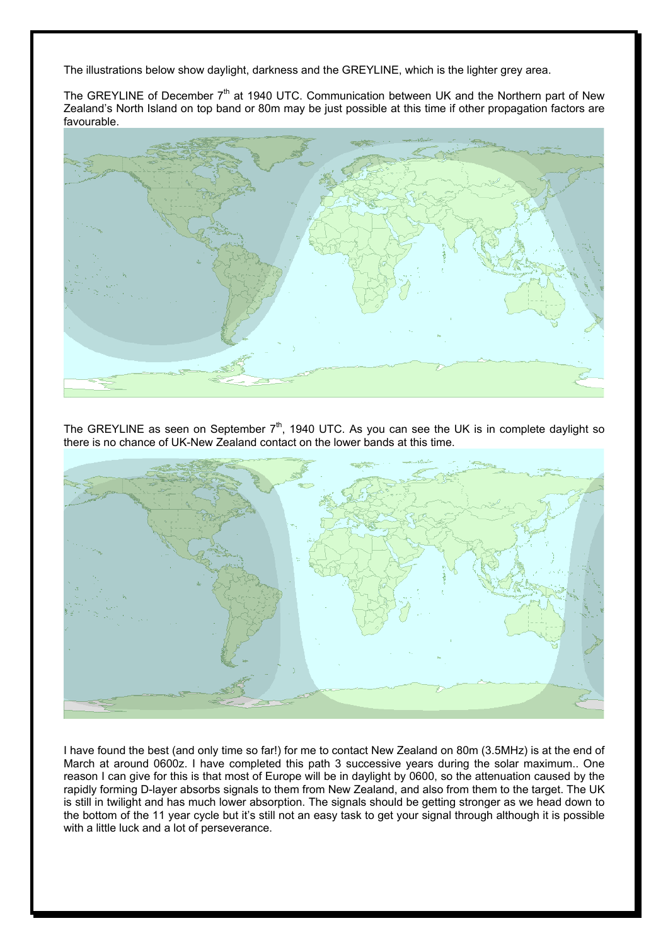The illustrations below show daylight, darkness and the GREYLINE, which is the lighter grey area.

The GREYLINE of December  $7<sup>th</sup>$  at 1940 UTC. Communication between UK and the Northern part of New Zealand's North Island on top band or 80m may be just possible at this time if other propagation factors are favourable.



The GREYLINE as seen on September  $7<sup>th</sup>$ , 1940 UTC. As you can see the UK is in complete daylight so there is no chance of UK-New Zealand contact on the lower bands at this time.



I have found the best (and only time so far!) for me to contact New Zealand on 80m (3.5MHz) is at the end of March at around 0600z. I have completed this path 3 successive years during the solar maximum.. One reason I can give for this is that most of Europe will be in daylight by 0600, so the attenuation caused by the rapidly forming D-layer absorbs signals to them from New Zealand, and also from them to the target. The UK is still in twilight and has much lower absorption. The signals should be getting stronger as we head down to the bottom of the 11 year cycle but it's still not an easy task to get your signal through although it is possible with a little luck and a lot of perseverance.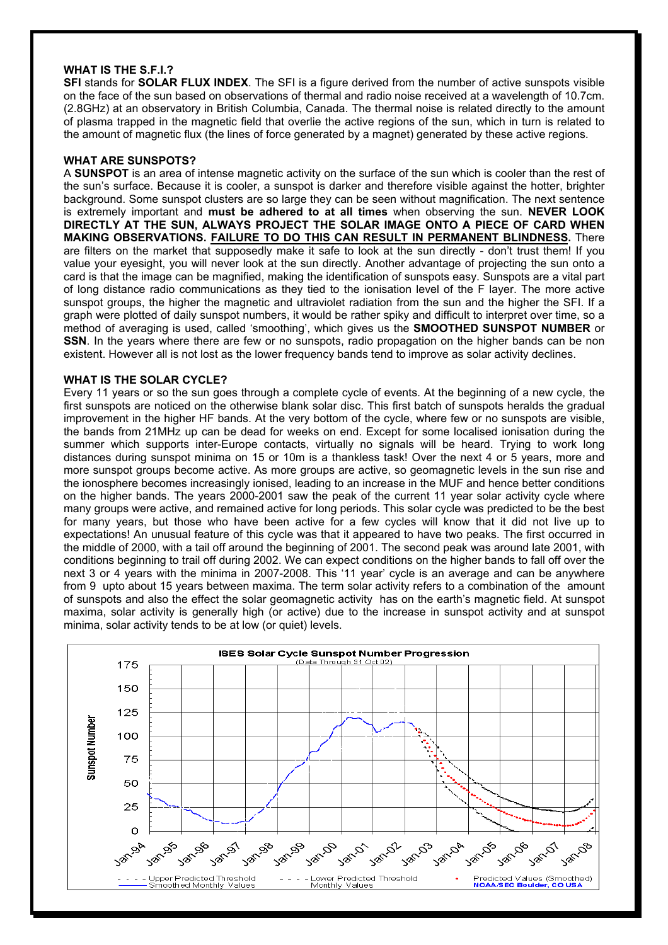## **WHAT IS THE S.F.I.?**

**SFI** stands for **SOLAR FLUX INDEX**. The SFI is a figure derived from the number of active sunspots visible on the face of the sun based on observations of thermal and radio noise received at a wavelength of 10.7cm. (2.8GHz) at an observatory in British Columbia, Canada. The thermal noise is related directly to the amount of plasma trapped in the magnetic field that overlie the active regions of the sun, which in turn is related to the amount of magnetic flux (the lines of force generated by a magnet) generated by these active regions.

#### **WHAT ARE SUNSPOTS?**

A **SUNSPOT** is an area of intense magnetic activity on the surface of the sun which is cooler than the rest of the sun's surface. Because it is cooler, a sunspot is darker and therefore visible against the hotter, brighter background. Some sunspot clusters are so large they can be seen without magnification. The next sentence is extremely important and **must be adhered to at all times** when observing the sun. **NEVER LOOK DIRECTLY AT THE SUN, ALWAYS PROJECT THE SOLAR IMAGE ONTO A PIECE OF CARD WHEN MAKING OBSERVATIONS. FAILURE TO DO THIS CAN RESULT IN PERMANENT BLINDNESS.** There are filters on the market that supposedly make it safe to look at the sun directly - don't trust them! If you value your eyesight, you will never look at the sun directly. Another advantage of projecting the sun onto a card is that the image can be magnified, making the identification of sunspots easy. Sunspots are a vital part of long distance radio communications as they tied to the ionisation level of the F layer. The more active sunspot groups, the higher the magnetic and ultraviolet radiation from the sun and the higher the SFI. If a graph were plotted of daily sunspot numbers, it would be rather spiky and difficult to interpret over time, so a method of averaging is used, called 'smoothing', which gives us the **SMOOTHED SUNSPOT NUMBER** or **SSN**. In the years where there are few or no sunspots, radio propagation on the higher bands can be non existent. However all is not lost as the lower frequency bands tend to improve as solar activity declines.

#### **WHAT IS THE SOLAR CYCLE?**

Every 11 years or so the sun goes through a complete cycle of events. At the beginning of a new cycle, the first sunspots are noticed on the otherwise blank solar disc. This first batch of sunspots heralds the gradual improvement in the higher HF bands. At the very bottom of the cycle, where few or no sunspots are visible, the bands from 21MHz up can be dead for weeks on end. Except for some localised ionisation during the summer which supports inter-Europe contacts, virtually no signals will be heard. Trying to work long distances during sunspot minima on 15 or 10m is a thankless task! Over the next 4 or 5 years, more and more sunspot groups become active. As more groups are active, so geomagnetic levels in the sun rise and the ionosphere becomes increasingly ionised, leading to an increase in the MUF and hence better conditions on the higher bands. The years 2000-2001 saw the peak of the current 11 year solar activity cycle where many groups were active, and remained active for long periods. This solar cycle was predicted to be the best for many years, but those who have been active for a few cycles will know that it did not live up to expectations! An unusual feature of this cycle was that it appeared to have two peaks. The first occurred in the middle of 2000, with a tail off around the beginning of 2001. The second peak was around late 2001, with conditions beginning to trail off during 2002. We can expect conditions on the higher bands to fall off over the next 3 or 4 years with the minima in 2007-2008. This '11 year' cycle is an average and can be anywhere from 9 upto about 15 years between maxima. The term solar activity refers to a combination of the amount of sunspots and also the effect the solar geomagnetic activity has on the earth's magnetic field. At sunspot maxima, solar activity is generally high (or active) due to the increase in sunspot activity and at sunspot minima, solar activity tends to be at low (or quiet) levels.

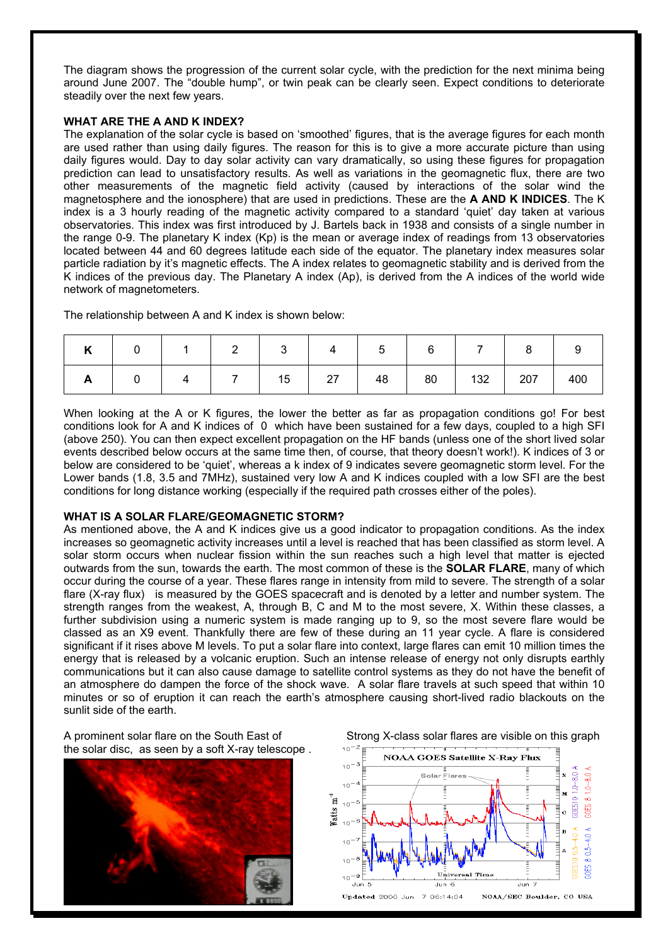The diagram shows the progression of the current solar cycle, with the prediction for the next minima being around June 2007. The "double hump", or twin peak can be clearly seen. Expect conditions to deteriorate steadily over the next few years.

## **WHAT ARE THE A AND K INDEX?**

The explanation of the solar cycle is based on 'smoothed' figures, that is the average figures for each month are used rather than using daily figures. The reason for this is to give a more accurate picture than using daily figures would. Day to day solar activity can vary dramatically, so using these figures for propagation prediction can lead to unsatisfactory results. As well as variations in the geomagnetic flux, there are two other measurements of the magnetic field activity (caused by interactions of the solar wind the magnetosphere and the ionosphere) that are used in predictions. These are the **A AND K INDICES**. The K index is a 3 hourly reading of the magnetic activity compared to a standard 'quiet' day taken at various observatories. This index was first introduced by J. Bartels back in 1938 and consists of a single number in the range 0-9. The planetary K index (Kp) is the mean or average index of readings from 13 observatories located between 44 and 60 degrees latitude each side of the equator. The planetary index measures solar particle radiation by it's magnetic effects. The A index relates to geomagnetic stability and is derived from the K indices of the previous day. The Planetary A index (Ap), is derived from the A indices of the world wide network of magnetometers.

The relationship between A and K index is shown below:

| $\overline{ }$ | $\overline{0}$          | $\overline{1}$                   |                                                                     |  | 4   5   6 |         | $\begin{array}{ c c c c c } \hline \ \text{\quad \quad } & \text{\quad \quad } & \text{\quad \quad } & \text{\quad \quad } & \text{\quad \quad } & \text{\quad \quad } & \text{\quad \quad } & \text{\quad \quad } & \text{\quad \quad } & \text{\quad \quad } & \text{\quad \quad } & \text{\quad \quad } & \text{\quad \quad } & \text{\quad \quad } & \text{\quad \quad } & \text{\quad \quad } & \text{\quad \quad } & \text{\quad \quad } & \text{\quad \quad } & \text{\quad \quad } & \text{\quad \quad } & \text{\quad \quad } & \text{\quad \quad } & \text{\quad \quad } & \text{\quad \quad }$ |     |
|----------------|-------------------------|----------------------------------|---------------------------------------------------------------------|--|-----------|---------|-----------------------------------------------------------------------------------------------------------------------------------------------------------------------------------------------------------------------------------------------------------------------------------------------------------------------------------------------------------------------------------------------------------------------------------------------------------------------------------------------------------------------------------------------------------------------------------------------------------|-----|
|                | $\overline{\mathbf{0}}$ | $\begin{array}{ccc} \end{array}$ | $\begin{array}{c c c c c c c c c} \hline & 7 & 15 & 27 \end{array}$ |  |           | 48   80 | 132 207                                                                                                                                                                                                                                                                                                                                                                                                                                                                                                                                                                                                   | 400 |

When looking at the A or K figures, the lower the better as far as propagation conditions go! For best conditions look for A and K indices of 0 which have been sustained for a few days, coupled to a high SFI (above 250). You can then expect excellent propagation on the HF bands (unless one of the short lived solar events described below occurs at the same time then, of course, that theory doesn't work!). K indices of 3 or below are considered to be 'quiet', whereas a k index of 9 indicates severe geomagnetic storm level. For the Lower bands (1.8, 3.5 and 7MHz), sustained very low A and K indices coupled with a low SFI are the best conditions for long distance working (especially if the required path crosses either of the poles).

## **WHAT IS A SOLAR FLARE/GEOMAGNETIC STORM?**

As mentioned above, the A and K indices give us a good indicator to propagation conditions. As the index increases so geomagnetic activity increases until a level is reached that has been classified as storm level. A solar storm occurs when nuclear fission within the sun reaches such a high level that matter is ejected outwards from the sun, towards the earth. The most common of these is the **SOLAR FLARE**, many of which occur during the course of a year. These flares range in intensity from mild to severe. The strength of a solar flare (X-ray flux) is measured by the GOES spacecraft and is denoted by a letter and number system. The strength ranges from the weakest, A, through B, C and M to the most severe, X. Within these classes, a further subdivision using a numeric system is made ranging up to 9, so the most severe flare would be classed as an X9 event. Thankfully there are few of these during an 11 year cycle. A flare is considered significant if it rises above M levels. To put a solar flare into context, large flares can emit 10 million times the energy that is released by a volcanic eruption. Such an intense release of energy not only disrupts earthly communications but it can also cause damage to satellite control systems as they do not have the benefit of an atmosphere do dampen the force of the shock wave. A solar flare travels at such speed that within 10 minutes or so of eruption it can reach the earth's atmosphere causing short-lived radio blackouts on the sunlit side of the earth.

A prominent solar flare on the South East of Strong X-class solar flares are visible on this graph the solar disc, as seen by a soft X-ray telescope .

![](_page_7_Picture_9.jpeg)

![](_page_7_Figure_10.jpeg)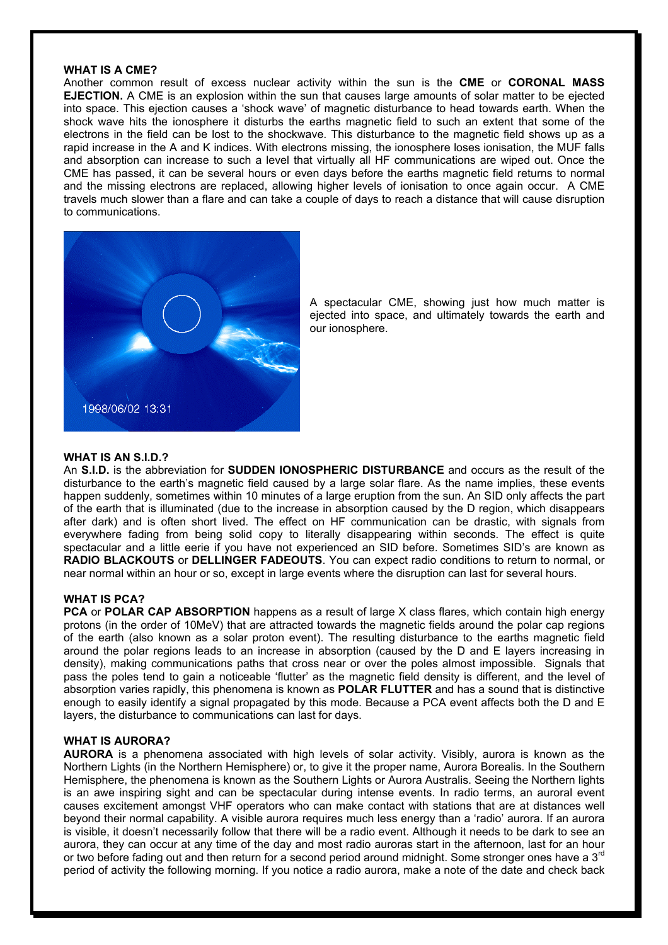## **WHAT IS A CME?**

Another common result of excess nuclear activity within the sun is the **CME** or **CORONAL MASS EJECTION.** A CME is an explosion within the sun that causes large amounts of solar matter to be ejected into space. This ejection causes a 'shock wave' of magnetic disturbance to head towards earth. When the shock wave hits the ionosphere it disturbs the earths magnetic field to such an extent that some of the electrons in the field can be lost to the shockwave. This disturbance to the magnetic field shows up as a rapid increase in the A and K indices. With electrons missing, the ionosphere loses ionisation, the MUF falls and absorption can increase to such a level that virtually all HF communications are wiped out. Once the CME has passed, it can be several hours or even days before the earths magnetic field returns to normal and the missing electrons are replaced, allowing higher levels of ionisation to once again occur. A CME travels much slower than a flare and can take a couple of days to reach a distance that will cause disruption to communications.

![](_page_8_Picture_2.jpeg)

A spectacular CME, showing just how much matter is ejected into space, and ultimately towards the earth and our ionosphere.

#### **WHAT IS AN S.I.D.?**

An **S.I.D.** is the abbreviation for **SUDDEN IONOSPHERIC DISTURBANCE** and occurs as the result of the disturbance to the earth's magnetic field caused by a large solar flare. As the name implies, these events happen suddenly, sometimes within 10 minutes of a large eruption from the sun. An SID only affects the part of the earth that is illuminated (due to the increase in absorption caused by the D region, which disappears after dark) and is often short lived. The effect on HF communication can be drastic, with signals from everywhere fading from being solid copy to literally disappearing within seconds. The effect is quite spectacular and a little eerie if you have not experienced an SID before. Sometimes SID's are known as **RADIO BLACKOUTS** or **DELLINGER FADEOUTS**. You can expect radio conditions to return to normal, or near normal within an hour or so, except in large events where the disruption can last for several hours.

#### **WHAT IS PCA?**

**PCA** or **POLAR CAP ABSORPTION** happens as a result of large X class flares, which contain high energy protons (in the order of 10MeV) that are attracted towards the magnetic fields around the polar cap regions of the earth (also known as a solar proton event). The resulting disturbance to the earths magnetic field around the polar regions leads to an increase in absorption (caused by the D and E layers increasing in density), making communications paths that cross near or over the poles almost impossible. Signals that pass the poles tend to gain a noticeable 'flutter' as the magnetic field density is different, and the level of absorption varies rapidly, this phenomena is known as **POLAR FLUTTER** and has a sound that is distinctive enough to easily identify a signal propagated by this mode. Because a PCA event affects both the D and E layers, the disturbance to communications can last for days.

#### **WHAT IS AURORA?**

**AURORA** is a phenomena associated with high levels of solar activity. Visibly, aurora is known as the Northern Lights (in the Northern Hemisphere) or, to give it the proper name, Aurora Borealis. In the Southern Hemisphere, the phenomena is known as the Southern Lights or Aurora Australis. Seeing the Northern lights is an awe inspiring sight and can be spectacular during intense events. In radio terms, an auroral event causes excitement amongst VHF operators who can make contact with stations that are at distances well beyond their normal capability. A visible aurora requires much less energy than a 'radio' aurora. If an aurora is visible, it doesn't necessarily follow that there will be a radio event. Although it needs to be dark to see an aurora, they can occur at any time of the day and most radio auroras start in the afternoon, last for an hour or two before fading out and then return for a second period around midnight. Some stronger ones have a  $3<sup>rd</sup>$ period of activity the following morning. If you notice a radio aurora, make a note of the date and check back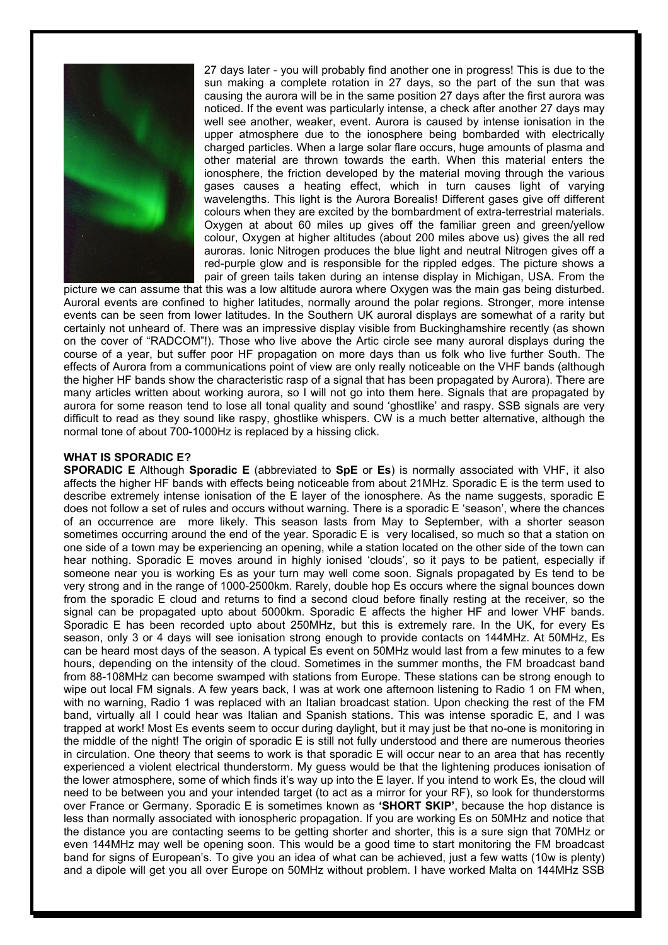![](_page_9_Picture_0.jpeg)

27 days later - you will probably find another one in progress! This is due to the sun making a complete rotation in 27 days, so the part of the sun that was causing the aurora will be in the same position 27 days after the first aurora was noticed. If the event was particularly intense, a check after another 27 days may well see another, weaker, event. Aurora is caused by intense ionisation in the upper atmosphere due to the ionosphere being bombarded with electrically charged particles. When a large solar flare occurs, huge amounts of plasma and other material are thrown towards the earth. When this material enters the ionosphere, the friction developed by the material moving through the various gases causes a heating effect, which in turn causes light of varying wavelengths. This light is the Aurora Borealis! Different gases give off different colours when they are excited by the bombardment of extra-terrestrial materials. Oxygen at about 60 miles up gives off the familiar green and green/yellow colour, Oxygen at higher altitudes (about 200 miles above us) gives the all red auroras. Ionic Nitrogen produces the blue light and neutral Nitrogen gives off a red-purple glow and is responsible for the rippled edges. The picture shows a pair of green tails taken during an intense display in Michigan, USA. From the

picture we can assume that this was a low altitude aurora where Oxygen was the main gas being disturbed. Auroral events are confined to higher latitudes, normally around the polar regions. Stronger, more intense events can be seen from lower latitudes. In the Southern UK auroral displays are somewhat of a rarity but certainly not unheard of. There was an impressive display visible from Buckinghamshire recently (as shown on the cover of "RADCOM"!). Those who live above the Artic circle see many auroral displays during the course of a year, but suffer poor HF propagation on more days than us folk who live further South. The effects of Aurora from a communications point of view are only really noticeable on the VHF bands (although the higher HF bands show the characteristic rasp of a signal that has been propagated by Aurora). There are many articles written about working aurora, so I will not go into them here. Signals that are propagated by aurora for some reason tend to lose all tonal quality and sound 'ghostlike' and raspy. SSB signals are very difficult to read as they sound like raspy, ghostlike whispers. CW is a much better alternative, although the normal tone of about 700-1000Hz is replaced by a hissing click.

#### **WHAT IS SPORADIC E?**

**SPORADIC E** Although **Sporadic E** (abbreviated to **SpE** or **Es**) is normally associated with VHF, it also affects the higher HF bands with effects being noticeable from about 21MHz. Sporadic E is the term used to describe extremely intense ionisation of the E layer of the ionosphere. As the name suggests, sporadic E does not follow a set of rules and occurs without warning. There is a sporadic E 'season', where the chances of an occurrence are more likely. This season lasts from May to September, with a shorter season sometimes occurring around the end of the year. Sporadic E is very localised, so much so that a station on one side of a town may be experiencing an opening, while a station located on the other side of the town can hear nothing. Sporadic E moves around in highly ionised 'clouds', so it pays to be patient, especially if someone near you is working Es as your turn may well come soon. Signals propagated by Es tend to be very strong and in the range of 1000-2500km. Rarely, double hop Es occurs where the signal bounces down from the sporadic E cloud and returns to find a second cloud before finally resting at the receiver, so the signal can be propagated upto about 5000km. Sporadic E affects the higher HF and lower VHF bands. Sporadic E has been recorded upto about 250MHz, but this is extremely rare. In the UK, for every Es season, only 3 or 4 days will see ionisation strong enough to provide contacts on 144MHz. At 50MHz, Es can be heard most days of the season. A typical Es event on 50MHz would last from a few minutes to a few hours, depending on the intensity of the cloud. Sometimes in the summer months, the FM broadcast band from 88-108MHz can become swamped with stations from Europe. These stations can be strong enough to wipe out local FM signals. A few years back, I was at work one afternoon listening to Radio 1 on FM when, with no warning. Radio 1 was replaced with an Italian broadcast station. Upon checking the rest of the FM band, virtually all I could hear was Italian and Spanish stations. This was intense sporadic E, and I was trapped at work! Most Es events seem to occur during daylight, but it may just be that no-one is monitoring in the middle of the night! The origin of sporadic E is still not fully understood and there are numerous theories in circulation. One theory that seems to work is that sporadic E will occur near to an area that has recently experienced a violent electrical thunderstorm. My guess would be that the lightening produces ionisation of the lower atmosphere, some of which finds it's way up into the E layer. If you intend to work Es, the cloud will need to be between you and your intended target (to act as a mirror for your RF), so look for thunderstorms over France or Germany. Sporadic E is sometimes known as **'SHORT SKIP'**, because the hop distance is less than normally associated with ionospheric propagation. If you are working Es on 50MHz and notice that the distance you are contacting seems to be getting shorter and shorter, this is a sure sign that 70MHz or even 144MHz may well be opening soon. This would be a good time to start monitoring the FM broadcast band for signs of European's. To give you an idea of what can be achieved, just a few watts (10w is plenty) and a dipole will get you all over Europe on 50MHz without problem. I have worked Malta on 144MHz SSB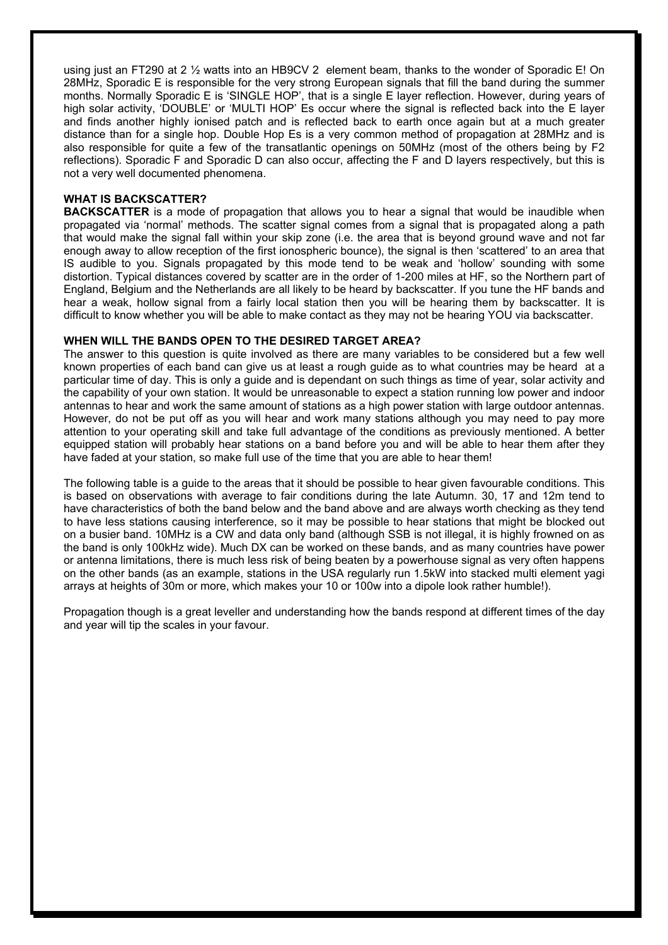using just an FT290 at 2 ½ watts into an HB9CV 2 element beam, thanks to the wonder of Sporadic E! On 28MHz, Sporadic E is responsible for the very strong European signals that fill the band during the summer months. Normally Sporadic E is 'SINGLE HOP', that is a single E layer reflection. However, during years of high solar activity, 'DOUBLE' or 'MULTI HOP' Es occur where the signal is reflected back into the E layer and finds another highly ionised patch and is reflected back to earth once again but at a much greater distance than for a single hop. Double Hop Es is a very common method of propagation at 28MHz and is also responsible for quite a few of the transatlantic openings on 50MHz (most of the others being by F2 reflections). Sporadic F and Sporadic D can also occur, affecting the F and D layers respectively, but this is not a very well documented phenomena.

## **WHAT IS BACKSCATTER?**

**BACKSCATTER** is a mode of propagation that allows you to hear a signal that would be inaudible when propagated via 'normal' methods. The scatter signal comes from a signal that is propagated along a path that would make the signal fall within your skip zone (i.e. the area that is beyond ground wave and not far enough away to allow reception of the first ionospheric bounce), the signal is then 'scattered' to an area that IS audible to you. Signals propagated by this mode tend to be weak and 'hollow' sounding with some distortion. Typical distances covered by scatter are in the order of 1-200 miles at HF, so the Northern part of England, Belgium and the Netherlands are all likely to be heard by backscatter. If you tune the HF bands and hear a weak, hollow signal from a fairly local station then you will be hearing them by backscatter. It is difficult to know whether you will be able to make contact as they may not be hearing YOU via backscatter.

## **WHEN WILL THE BANDS OPEN TO THE DESIRED TARGET AREA?**

The answer to this question is quite involved as there are many variables to be considered but a few well known properties of each band can give us at least a rough guide as to what countries may be heard at a particular time of day. This is only a guide and is dependant on such things as time of year, solar activity and the capability of your own station. It would be unreasonable to expect a station running low power and indoor antennas to hear and work the same amount of stations as a high power station with large outdoor antennas. However, do not be put off as you will hear and work many stations although you may need to pay more attention to your operating skill and take full advantage of the conditions as previously mentioned. A better equipped station will probably hear stations on a band before you and will be able to hear them after they have faded at your station, so make full use of the time that you are able to hear them!

The following table is a guide to the areas that it should be possible to hear given favourable conditions. This is based on observations with average to fair conditions during the late Autumn. 30, 17 and 12m tend to have characteristics of both the band below and the band above and are always worth checking as they tend to have less stations causing interference, so it may be possible to hear stations that might be blocked out on a busier band. 10MHz is a CW and data only band (although SSB is not illegal, it is highly frowned on as the band is only 100kHz wide). Much DX can be worked on these bands, and as many countries have power or antenna limitations, there is much less risk of being beaten by a powerhouse signal as very often happens on the other bands (as an example, stations in the USA regularly run 1.5kW into stacked multi element yagi arrays at heights of 30m or more, which makes your 10 or 100w into a dipole look rather humble!).

Propagation though is a great leveller and understanding how the bands respond at different times of the day and year will tip the scales in your favour.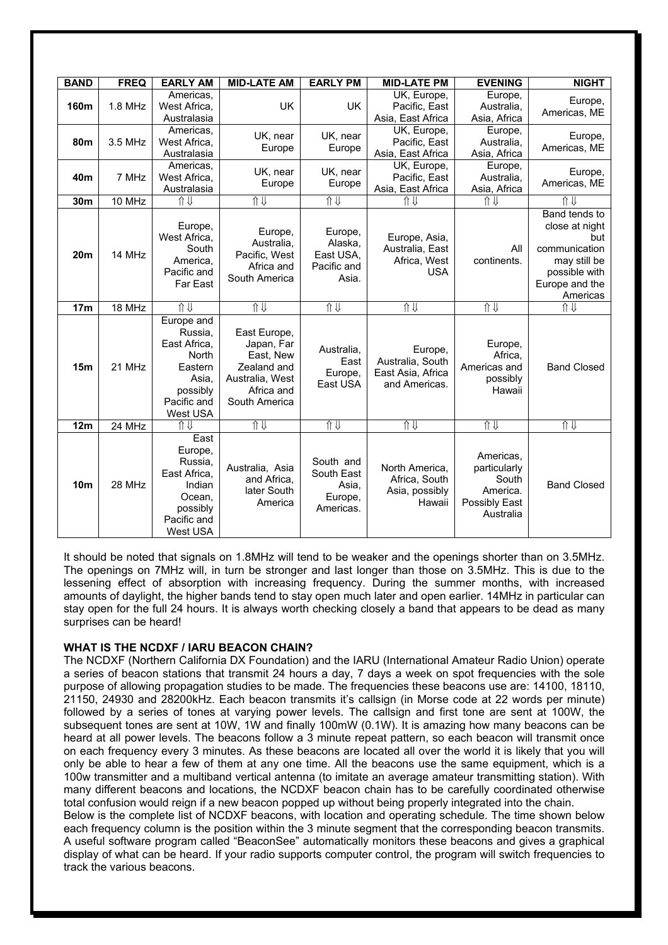| <b>BAND</b>     | <b>FREQ</b> | <b>EARLY AM</b>                                                                                           | <b>MID-LATE AM</b>                                                                                       | <b>EARLY PM</b>                                          | <b>MID-LATE PM</b>                                                                         | <b>EVENING</b>                                                               | <b>NIGHT</b>                                                                                                           |  |
|-----------------|-------------|-----------------------------------------------------------------------------------------------------------|----------------------------------------------------------------------------------------------------------|----------------------------------------------------------|--------------------------------------------------------------------------------------------|------------------------------------------------------------------------------|------------------------------------------------------------------------------------------------------------------------|--|
| 160m            | $1.8$ MHz   | Americas.<br>West Africa,<br>Australasia                                                                  | <b>UK</b>                                                                                                | <b>UK</b>                                                | UK, Europe,<br>Pacific, East<br>Asia, East Africa                                          | Europe,<br>Australia,<br>Asia, Africa                                        | Europe,<br>Americas, ME                                                                                                |  |
| <b>80m</b>      | 3.5 MHz     | Americas,<br>West Africa,<br>Australasia                                                                  | UK, near<br>Europe                                                                                       | UK, near<br>Europe                                       | UK, Europe,<br>Pacific, East<br>Asia, East Africa                                          | Europe,<br>Australia,<br>Asia, Africa                                        | Europe,<br>Americas, ME                                                                                                |  |
| 40 <sub>m</sub> | 7 MHz       | Americas.<br>West Africa,<br>Australasia                                                                  | UK, near<br>UK, near<br>Europe<br>Europe                                                                 |                                                          | UK, Europe,<br>Europe,<br>Pacific, East<br>Australia,<br>Asia, East Africa<br>Asia, Africa |                                                                              | Europe,<br>Americas, ME                                                                                                |  |
| 30 <sub>m</sub> | 10 MHz      | Ⅱ⇒                                                                                                        | 介儿                                                                                                       | 介儿                                                       | 介⇒                                                                                         | 介⇒                                                                           | ⇑⇓                                                                                                                     |  |
| 20 <sub>m</sub> | 14 MHz      | Europe,<br>West Africa.<br>South<br>America,<br>Pacific and<br>Far East                                   | Europe,<br>Australia,<br>Pacific, West<br>Africa and<br>South America                                    | Europe,<br>Alaska,<br>East USA,<br>Pacific and<br>Asia.  | Europe, Asia,<br>Australia, East<br>Africa, West<br><b>USA</b>                             | All<br>continents.                                                           | Band tends to<br>close at night<br>but<br>communication<br>may still be<br>possible with<br>Europe and the<br>Americas |  |
| 17 <sub>m</sub> | 18 MHz      | 介儿                                                                                                        | 介⇒                                                                                                       | Ⅱ↓                                                       | 介儿                                                                                         | 介⇒                                                                           | 介⇒                                                                                                                     |  |
| 15m             | 21 MHz      | Europe and<br>Russia,<br>East Africa,<br>North<br>Eastern<br>Asia,<br>possibly<br>Pacific and<br>West USA | East Europe,<br>Japan, Far<br>East, New<br>Zealand and<br>Australia, West<br>Africa and<br>South America | Australia,<br>East<br>Europe,<br>East USA                | Europe,<br>Australia, South<br>East Asia, Africa<br>and Americas.                          | Europe,<br>Africa,<br>Americas and<br>possibly<br>Hawaii                     | <b>Band Closed</b>                                                                                                     |  |
| 12m             | 24 MHz      | 介⇒                                                                                                        | 介                                                                                                        | 介                                                        | 介                                                                                          | 介                                                                            | 介                                                                                                                      |  |
| 10 <sub>m</sub> | 28 MHz      | East<br>Europe,<br>Russia.<br>East Africa,<br>Indian<br>Ocean,<br>possibly<br>Pacific and<br>West USA     | Australia, Asia<br>and Africa,<br>later South<br>America                                                 | South and<br>South East<br>Asia,<br>Europe,<br>Americas. | North America,<br>Africa, South<br>Asia, possibly<br>Hawaii                                | Americas,<br>particularly<br>South<br>America.<br>Possibly East<br>Australia | <b>Band Closed</b>                                                                                                     |  |

It should be noted that signals on 1.8MHz will tend to be weaker and the openings shorter than on 3.5MHz. The openings on 7MHz will, in turn be stronger and last longer than those on 3.5MHz. This is due to the lessening effect of absorption with increasing frequency. During the summer months, with increased amounts of daylight, the higher bands tend to stay open much later and open earlier. 14MHz in particular can stay open for the full 24 hours. It is always worth checking closely a band that appears to be dead as many surprises can be heard!

## **WHAT IS THE NCDXF / IARU BEACON CHAIN?**

The NCDXF (Northern California DX Foundation) and the IARU (International Amateur Radio Union) operate a series of beacon stations that transmit 24 hours a day, 7 days a week on spot frequencies with the sole purpose of allowing propagation studies to be made. The frequencies these beacons use are: 14100, 18110, 21150, 24930 and 28200kHz. Each beacon transmits it's callsign (in Morse code at 22 words per minute) followed by a series of tones at varying power levels. The callsign and first tone are sent at 100W, the subsequent tones are sent at 10W, 1W and finally 100mW (0.1W). It is amazing how many beacons can be heard at all power levels. The beacons follow a 3 minute repeat pattern, so each beacon will transmit once on each frequency every 3 minutes. As these beacons are located all over the world it is likely that you will only be able to hear a few of them at any one time. All the beacons use the same equipment, which is a 100w transmitter and a multiband vertical antenna (to imitate an average amateur transmitting station). With many different beacons and locations, the NCDXF beacon chain has to be carefully coordinated otherwise total confusion would reign if a new beacon popped up without being properly integrated into the chain.

Below is the complete list of NCDXF beacons, with location and operating schedule. The time shown below each frequency column is the position within the 3 minute segment that the corresponding beacon transmits. A useful software program called "BeaconSee" automatically monitors these beacons and gives a graphical display of what can be heard. If your radio supports computer control, the program will switch frequencies to track the various beacons.